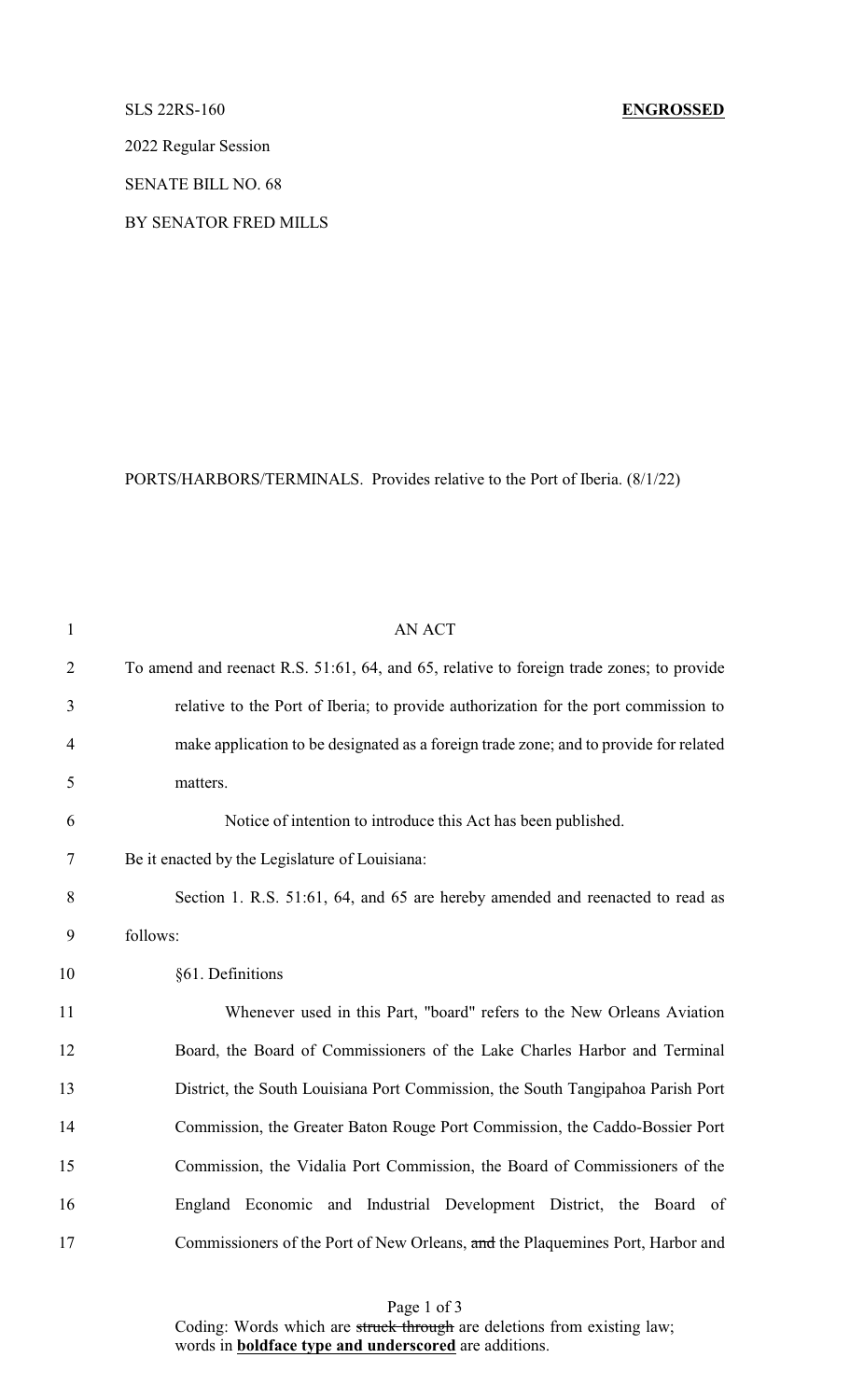2022 Regular Session

SENATE BILL NO. 68

BY SENATOR FRED MILLS

PORTS/HARBORS/TERMINALS. Provides relative to the Port of Iberia. (8/1/22)

| $\mathbf{1}$   | AN ACT                                                                                   |
|----------------|------------------------------------------------------------------------------------------|
| $\overline{2}$ | To amend and reenact R.S. 51:61, 64, and 65, relative to foreign trade zones; to provide |
| 3              | relative to the Port of Iberia; to provide authorization for the port commission to      |
| $\overline{4}$ | make application to be designated as a foreign trade zone; and to provide for related    |
| 5              | matters.                                                                                 |
| 6              | Notice of intention to introduce this Act has been published.                            |
| 7              | Be it enacted by the Legislature of Louisiana:                                           |
| 8              | Section 1. R.S. 51:61, 64, and 65 are hereby amended and reenacted to read as            |
| 9              | follows:                                                                                 |
| 10             | §61. Definitions                                                                         |
| 11             | Whenever used in this Part, "board" refers to the New Orleans Aviation                   |
| 12             | Board, the Board of Commissioners of the Lake Charles Harbor and Terminal                |
| 13             | District, the South Louisiana Port Commission, the South Tangipahoa Parish Port          |
| 14             | Commission, the Greater Baton Rouge Port Commission, the Caddo-Bossier Port              |
| 15             | Commission, the Vidalia Port Commission, the Board of Commissioners of the               |
| 16             | England Economic and Industrial Development District, the Board of                       |
| 17             | Commissioners of the Port of New Orleans, and the Plaquemines Port, Harbor and           |

Page 1 of 3 Coding: Words which are struck through are deletions from existing law; words in **boldface type and underscored** are additions.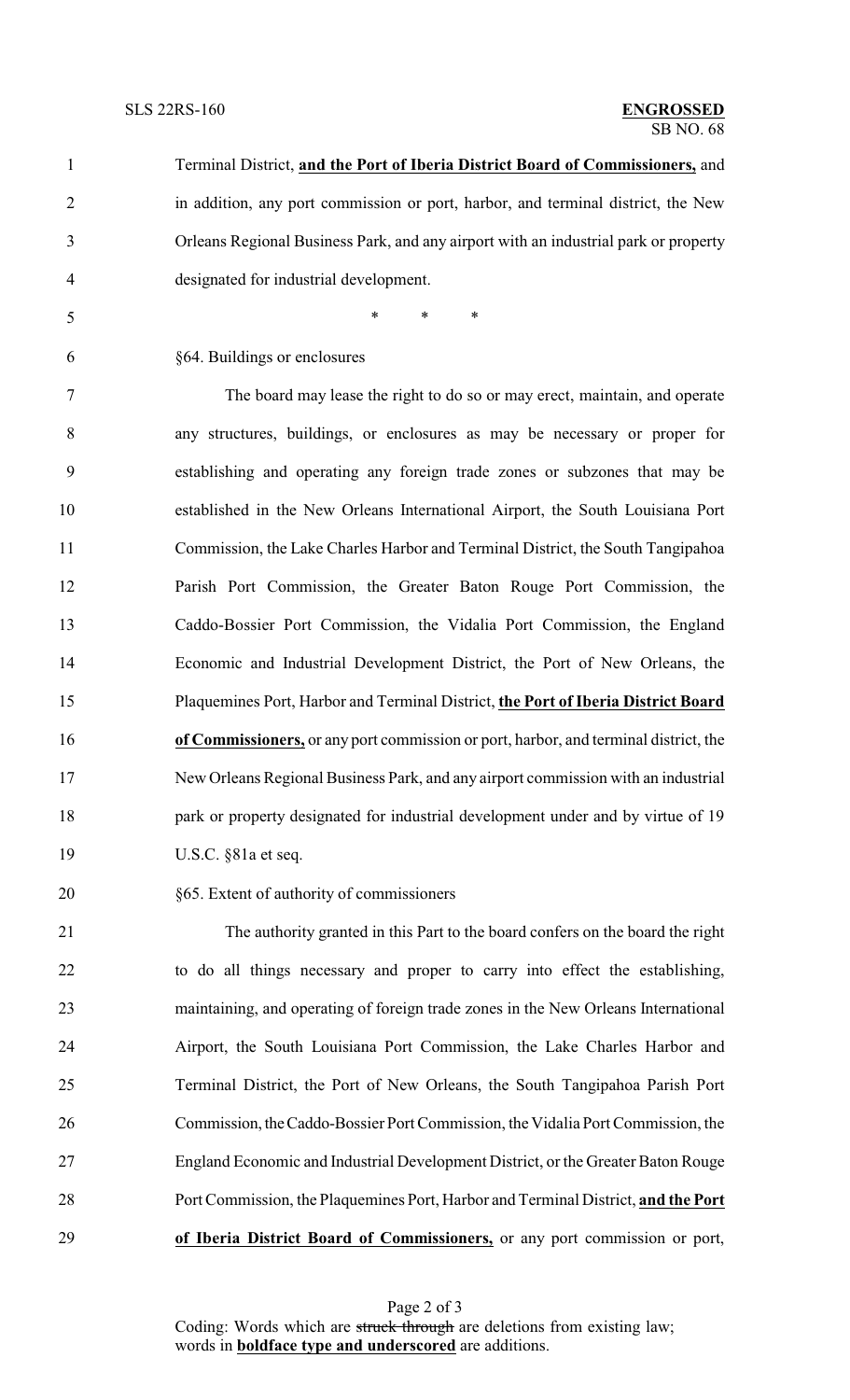| $\mathbf{1}$   | Terminal District, and the Port of Iberia District Board of Commissioners, and       |
|----------------|--------------------------------------------------------------------------------------|
| $\overline{2}$ | in addition, any port commission or port, harbor, and terminal district, the New     |
| 3              | Orleans Regional Business Park, and any airport with an industrial park or property  |
| 4              | designated for industrial development.                                               |
| 5              | *<br>$\ast$<br>∗                                                                     |
| 6              | §64. Buildings or enclosures                                                         |
| 7              | The board may lease the right to do so or may erect, maintain, and operate           |
| 8              | any structures, buildings, or enclosures as may be necessary or proper for           |
| 9              | establishing and operating any foreign trade zones or subzones that may be           |
| 10             | established in the New Orleans International Airport, the South Louisiana Port       |
| 11             | Commission, the Lake Charles Harbor and Terminal District, the South Tangipahoa      |
| 12             | Parish Port Commission, the Greater Baton Rouge Port Commission, the                 |
| 13             | Caddo-Bossier Port Commission, the Vidalia Port Commission, the England              |
| 14             | Economic and Industrial Development District, the Port of New Orleans, the           |
| 15             | Plaquemines Port, Harbor and Terminal District, the Port of Iberia District Board    |
| 16             | of Commissioners, or any port commission or port, harbor, and terminal district, the |
| 17             | New Orleans Regional Business Park, and any airport commission with an industrial    |
| 18             | park or property designated for industrial development under and by virtue of 19     |
| 19             | U.S.C. §81a et seq.                                                                  |
| 20             | §65. Extent of authority of commissioners                                            |
| 21             | The authority granted in this Part to the board confers on the board the right       |

 to do all things necessary and proper to carry into effect the establishing, maintaining, and operating of foreign trade zones in the New Orleans International Airport, the South Louisiana Port Commission, the Lake Charles Harbor and Terminal District, the Port of New Orleans, the South Tangipahoa Parish Port Commission, theCaddo-Bossier Port Commission, the Vidalia Port Commission, the England Economic and Industrial Development District, or the Greater Baton Rouge Port Commission, the Plaquemines Port, Harbor and Terminal District, **and the Port of Iberia District Board of Commissioners,** or any port commission or port,

Page 2 of 3 Coding: Words which are struck through are deletions from existing law; words in **boldface type and underscored** are additions.